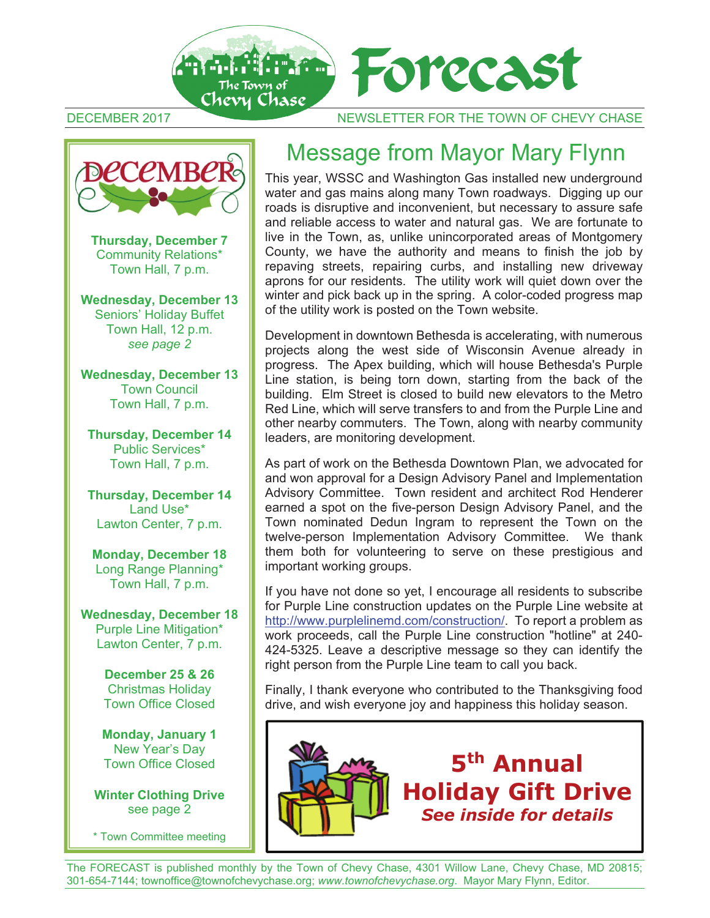

DECEMBER 2017 NEWSLETTER FOR THE TOWN OF CHEVY CHASE

# **DECEMBER**

**Thursday, December 7** Community Relations\* Town Hall, 7 p.m.

**Wednesday, December 13**  Seniors' Holiday Buffet Town Hall, 12 p.m. *see page 2* 

**Wednesday, December 13**  Town Council Town Hall, 7 p.m.

**Thursday, December 14**  Public Services\* Town Hall, 7 p.m.

**Thursday, December 14**  Land Use\* Lawton Center, 7 p.m.

**Monday, December 18**  Long Range Planning\* Town Hall, 7 p.m.

**Wednesday, December 18**  Purple Line Mitigation\* Lawton Center, 7 p.m.

> **December 25 & 26**  Christmas Holiday Town Office Closed

**Monday, January 1**  New Year's Day Town Office Closed

**Winter Clothing Drive**  see page 2

\* Town Committee meeting

## Message from Mayor Mary Flynn

This year, WSSC and Washington Gas installed new underground water and gas mains along many Town roadways. Digging up our roads is disruptive and inconvenient, but necessary to assure safe and reliable access to water and natural gas. We are fortunate to live in the Town, as, unlike unincorporated areas of Montgomery County, we have the authority and means to finish the job by repaving streets, repairing curbs, and installing new driveway aprons for our residents. The utility work will quiet down over the winter and pick back up in the spring. A color-coded progress map of the utility work is posted on the Town website.

Development in downtown Bethesda is accelerating, with numerous projects along the west side of Wisconsin Avenue already in progress. The Apex building, which will house Bethesda's Purple Line station, is being torn down, starting from the back of the building. Elm Street is closed to build new elevators to the Metro Red Line, which will serve transfers to and from the Purple Line and other nearby commuters. The Town, along with nearby community leaders, are monitoring development.

As part of work on the Bethesda Downtown Plan, we advocated for and won approval for a Design Advisory Panel and Implementation Advisory Committee. Town resident and architect Rod Henderer earned a spot on the five-person Design Advisory Panel, and the Town nominated Dedun Ingram to represent the Town on the twelve-person Implementation Advisory Committee. We thank them both for volunteering to serve on these prestigious and important working groups.

If you have not done so yet, I encourage all residents to subscribe for Purple Line construction updates on the Purple Line website at http://www.purplelinemd.com/construction/. To report a problem as work proceeds, call the Purple Line construction "hotline" at 240- 424-5325. Leave a descriptive message so they can identify the right person from the Purple Line team to call you back.

Finally, I thank everyone who contributed to the Thanksgiving food drive, and wish everyone joy and happiness this holiday season.



The FORECAST is published monthly by the Town of Chevy Chase, 4301 Willow Lane, Chevy Chase, MD 20815; 301-654-7144; townoffice@townofchevychase.org; *www.townofchevychase.org*. Mayor Mary Flynn, Editor.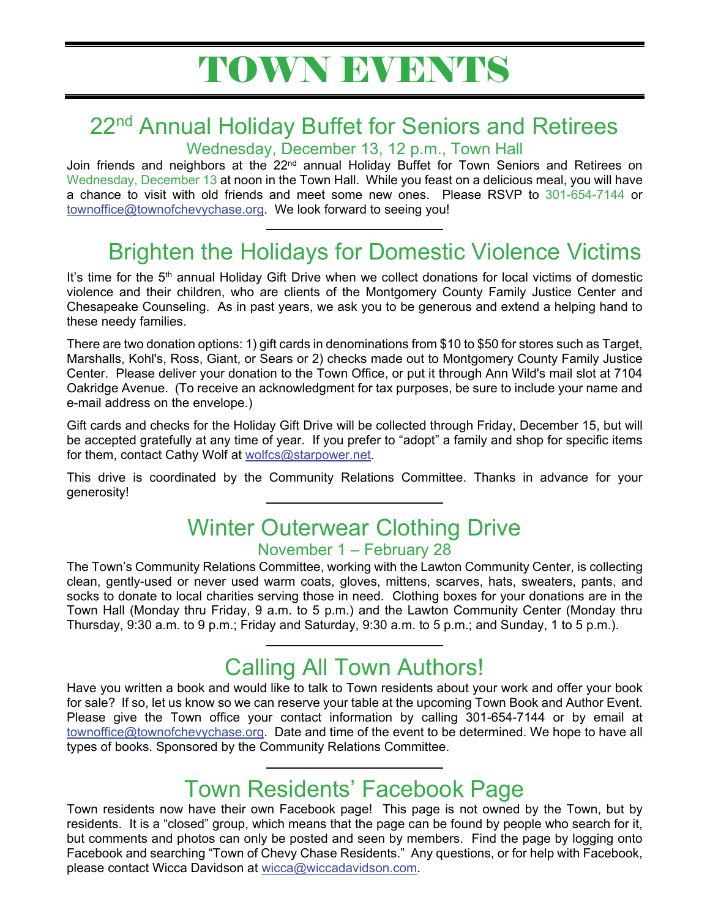## 22<sup>nd</sup> Annual Holiday Buffet for Seniors and Retirees

Wednesday, December 13, 12 p.m., Town Hall

Join friends and neighbors at the  $22<sup>nd</sup>$  annual Holiday Buffet for Town Seniors and Retirees on Wednesday, December 13 at noon in the Town Hall. While you feast on a delicious meal, you will have a chance to visit with old friends and meet some new ones. Please RSVP to 301-654-7144 or townoffice@townofchevychase.org. We look forward to seeing you!

## Brighten the Holidays for Domestic Violence Victims

It's time for the 5<sup>th</sup> annual Holiday Gift Drive when we collect donations for local victims of domestic violence and their children, who are clients of the Montgomery County Family Justice Center and Chesapeake Counseling. As in past years, we ask you to be generous and extend a helping hand to these needy families.

There are two donation options: 1) gift cards in denominations from \$10 to \$50 for stores such as Target, Marshalls, Kohl's, Ross, Giant, or Sears or 2) checks made out to Montgomery County Family Justice Center. Please deliver your donation to the Town Office, or put it through Ann Wild's mail slot at 7104 Oakridge Avenue. (To receive an acknowledgment for tax purposes, be sure to include your name and e-mail address on the envelope.)

Gift cards and checks for the Holiday Gift Drive will be collected through Friday, December 15, but will be accepted gratefully at any time of year. If you prefer to "adopt" a family and shop for specific items for them, contact Cathy Wolf at wolfcs@starpower.net.

This drive is coordinated by the Community Relations Committee. Thanks in advance for your generosity!

## Winter Outerwear Clothing Drive

#### November 1 – February 28

The Town's Community Relations Committee, working with the Lawton Community Center, is collecting clean, gently-used or never used warm coats, gloves, mittens, scarves, hats, sweaters, pants, and socks to donate to local charities serving those in need. Clothing boxes for your donations are in the Town Hall (Monday thru Friday, 9 a.m. to 5 p.m.) and the Lawton Community Center (Monday thru Thursday, 9:30 a.m. to 9 p.m.; Friday and Saturday, 9:30 a.m. to 5 p.m.; and Sunday, 1 to 5 p.m.).

## Calling All Town Authors!

Have you written a book and would like to talk to Town residents about your work and offer your book for sale? If so, let us know so we can reserve your table at the upcoming Town Book and Author Event. Please give the Town office your contact information by calling 301-654-7144 or by email at townoffice@townofchevychase.org. Date and time of the event to be determined. We hope to have all types of books. Sponsored by the Community Relations Committee.

## Town Residents' Facebook Page

Town residents now have their own Facebook page! This page is not owned by the Town, but by residents. It is a "closed" group, which means that the page can be found by people who search for it, but comments and photos can only be posted and seen by members. Find the page by logging onto Facebook and searching "Town of Chevy Chase Residents." Any questions, or for help with Facebook, please contact Wicca Davidson at wicca@wiccadavidson.com.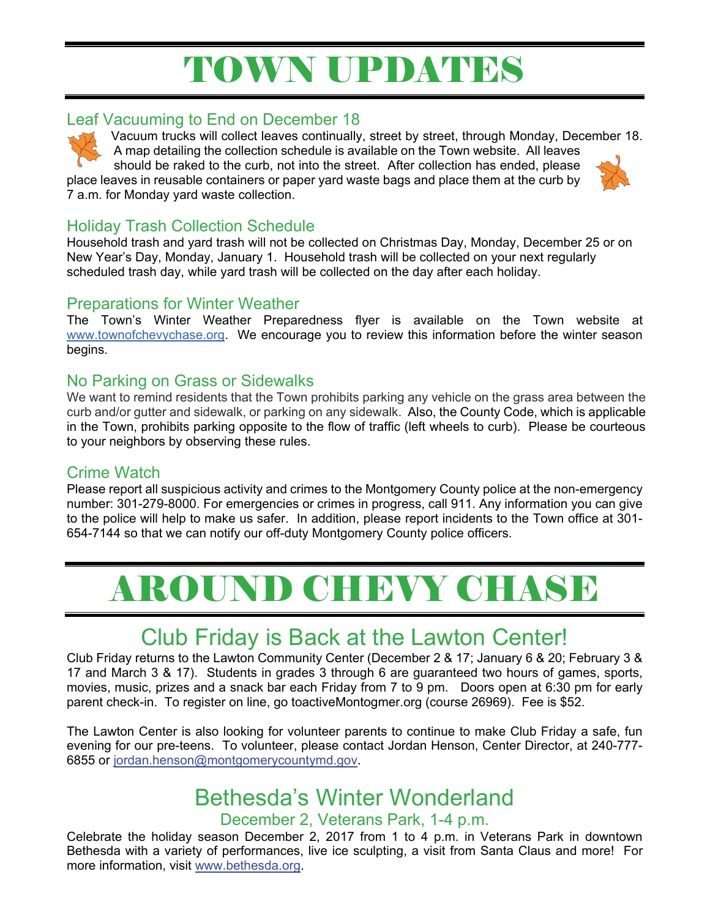## TOWN UPDATES

#### Leaf Vacuuming to End on December 18

Vacuum trucks will collect leaves continually, street by street, through Monday, December 18. A map detailing the collection schedule is available on the Town website. All leaves

should be raked to the curb, not into the street. After collection has ended, please place leaves in reusable containers or paper yard waste bags and place them at the curb by 7 a.m. for Monday yard waste collection.



Household trash and yard trash will not be collected on Christmas Day, Monday, December 25 or on New Year's Day, Monday, January 1. Household trash will be collected on your next regularly scheduled trash day, while yard trash will be collected on the day after each holiday.

#### Preparations for Winter Weather

The Town's Winter Weather Preparedness flyer is available on the Town website at www.townofchevychase.org. We encourage you to review this information before the winter season begins.

#### No Parking on Grass or Sidewalks

We want to remind residents that the Town prohibits parking any vehicle on the grass area between the curb and/or gutter and sidewalk, or parking on any sidewalk. Also, the County Code, which is applicable in the Town, prohibits parking opposite to the flow of traffic (left wheels to curb). Please be courteous to your neighbors by observing these rules.

#### Crime Watch

Please report all suspicious activity and crimes to the Montgomery County police at the non-emergency number: 301-279-8000. For emergencies or crimes in progress, call 911. Any information you can give to the police will help to make us safer. In addition, please report incidents to the Town office at 301- 654-7144 so that we can notify our off-duty Montgomery County police officers.

## AROUND CHEVY CHASE

## Club Friday is Back at the Lawton Center!

Club Friday returns to the Lawton Community Center (December 2 & 17; January 6 & 20; February 3 & 17 and March 3 & 17). Students in grades 3 through 6 are guaranteed two hours of games, sports, movies, music, prizes and a snack bar each Friday from 7 to 9 pm. Doors open at 6:30 pm for early parent check-in. To register on line, go toactiveMontogmer.org (course 26969). Fee is \$52.

The Lawton Center is also looking for volunteer parents to continue to make Club Friday a safe, fun evening for our pre-teens. To volunteer, please contact Jordan Henson, Center Director, at 240-777- 6855 or jordan.henson@montgomerycountymd.gov.

## Bethesda's Winter Wonderland

#### December 2, Veterans Park, 1-4 p.m.

Celebrate the holiday season December 2, 2017 from 1 to 4 p.m. in Veterans Park in downtown Bethesda with a variety of performances, live ice sculpting, a visit from Santa Claus and more! For more information, visit www.bethesda.org.